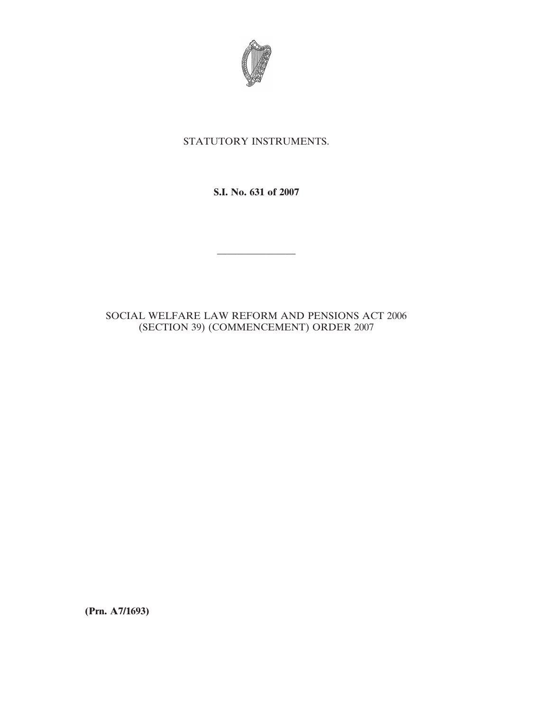

## STATUTORY INSTRUMENTS.

**S.I. No. 631 of 2007**

————————

## SOCIAL WELFARE LAW REFORM AND PENSIONS ACT 2006 (SECTION 39) (COMMENCEMENT) ORDER 2007

**(Prn. A7/1693)**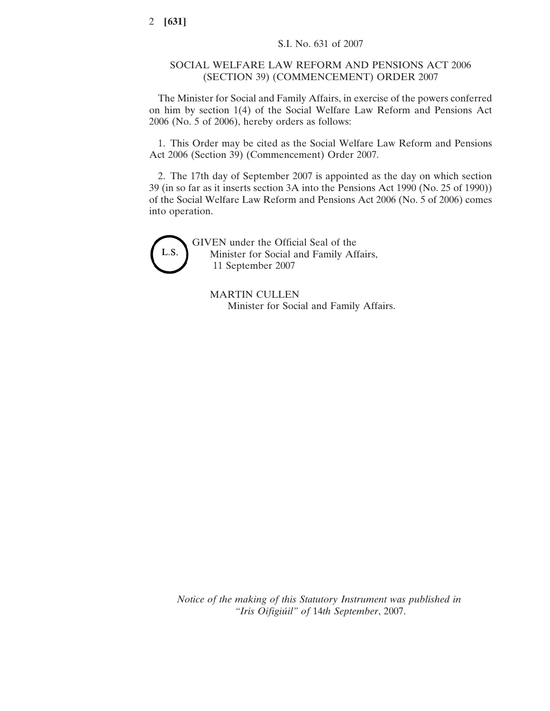## SOCIAL WELFARE LAW REFORM AND PENSIONS ACT 2006 (SECTION 39) (COMMENCEMENT) ORDER 2007

The Minister for Social and Family Affairs, in exercise of the powers conferred on him by section 1(4) of the Social Welfare Law Reform and Pensions Act 2006 (No. 5 of 2006), hereby orders as follows:

1. This Order may be cited as the Social Welfare Law Reform and Pensions Act 2006 (Section 39) (Commencement) Order 2007.

2. The 17th day of September 2007 is appointed as the day on which section 39 (in so far as it inserts section 3A into the Pensions Act 1990 (No. 25 of 1990)) of the Social Welfare Law Reform and Pensions Act 2006 (No. 5 of 2006) comes into operation.



GIVEN under the Official Seal of the Minister for Social and Family Affairs, 11 September 2007

MARTIN CULLEN Minister for Social and Family Affairs.

*Notice of the making of this Statutory Instrument was published in "Iris Oifigiu´il" of* 14*th September*, 2007.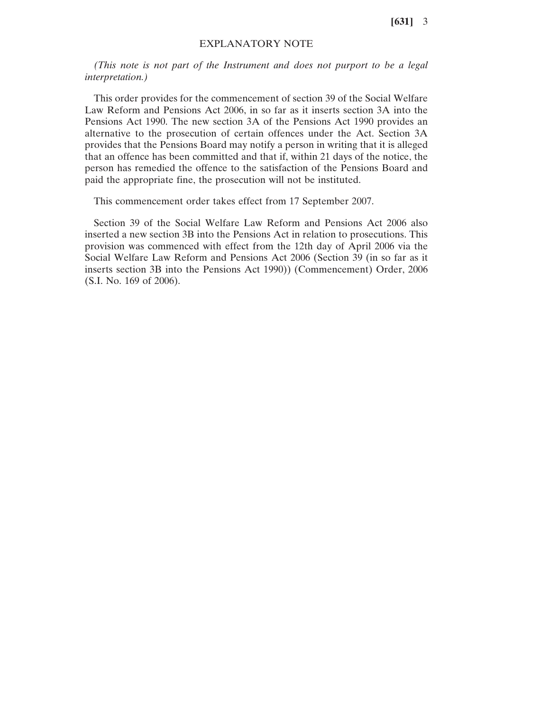**[631]** 3

## EXPLANATORY NOTE

*(This note is not part of the Instrument and does not purport to be a legal interpretation.)*

This order provides for the commencement of section 39 of the Social Welfare Law Reform and Pensions Act 2006, in so far as it inserts section 3A into the Pensions Act 1990. The new section 3A of the Pensions Act 1990 provides an alternative to the prosecution of certain offences under the Act. Section 3A provides that the Pensions Board may notify a person in writing that it is alleged that an offence has been committed and that if, within 21 days of the notice, the person has remedied the offence to the satisfaction of the Pensions Board and paid the appropriate fine, the prosecution will not be instituted.

This commencement order takes effect from 17 September 2007.

Section 39 of the Social Welfare Law Reform and Pensions Act 2006 also inserted a new section 3B into the Pensions Act in relation to prosecutions. This provision was commenced with effect from the 12th day of April 2006 via the Social Welfare Law Reform and Pensions Act 2006 (Section 39 (in so far as it inserts section 3B into the Pensions Act 1990)) (Commencement) Order, 2006 (S.I. No. 169 of 2006).